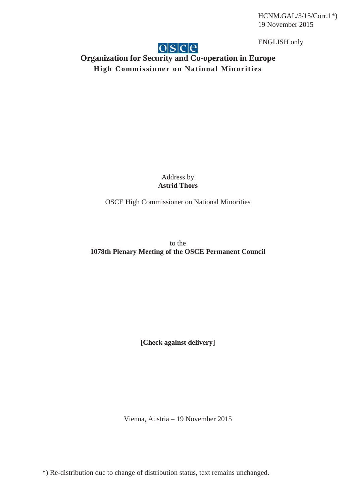HCNM.GAL/3/15/Corr.1\*) 19 November 2015

ENGLISH only

# $o|s|c|e$

# **Organization for Security and Co-operation in Europe High Commissioner on National Minorities**

Address by **Astrid Thors** 

OSCE High Commissioner on National Minorities

to the **1078th Plenary Meeting of the OSCE Permanent Council** 

**[Check against delivery]** 

Vienna, Austria – 19 November 2015

\*) Re-distribution due to change of distribution status, text remains unchanged.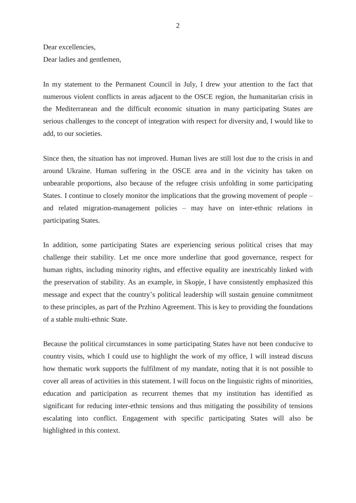Dear excellencies,

Dear ladies and gentlemen,

In my statement to the Permanent Council in July, I drew your attention to the fact that numerous violent conflicts in areas adjacent to the OSCE region, the humanitarian crisis in the Mediterranean and the difficult economic situation in many participating States are serious challenges to the concept of integration with respect for diversity and, I would like to add, to our societies.

Since then, the situation has not improved. Human lives are still lost due to the crisis in and around Ukraine. Human suffering in the OSCE area and in the vicinity has taken on unbearable proportions, also because of the refugee crisis unfolding in some participating States. I continue to closely monitor the implications that the growing movement of people – and related migration-management policies – may have on inter-ethnic relations in participating States.

In addition, some participating States are experiencing serious political crises that may challenge their stability. Let me once more underline that good governance, respect for human rights, including minority rights, and effective equality are inextricably linked with the preservation of stability. As an example, in Skopje, I have consistently emphasized this message and expect that the country's political leadership will sustain genuine commitment to these principles, as part of the Przhino Agreement. This is key to providing the foundations of a stable multi-ethnic State.

Because the political circumstances in some participating States have not been conducive to country visits, which I could use to highlight the work of my office, I will instead discuss how thematic work supports the fulfilment of my mandate, noting that it is not possible to cover all areas of activities in this statement. I will focus on the linguistic rights of minorities, education and participation as recurrent themes that my institution has identified as significant for reducing inter-ethnic tensions and thus mitigating the possibility of tensions escalating into conflict. Engagement with specific participating States will also be highlighted in this context.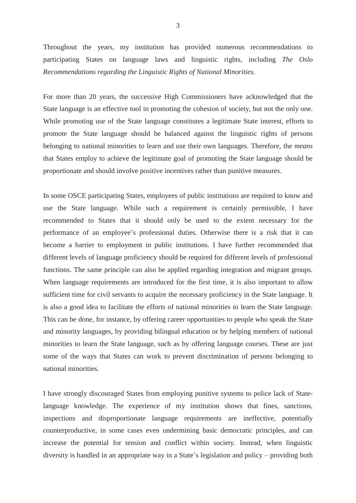Throughout the years, my institution has provided numerous recommendations to participating States on language laws and linguistic rights, including *The Oslo Recommendations regarding the Linguistic Rights of National Minorities*.

For more than 20 years, the successive High Commissioners have acknowledged that the State language is an effective tool in promoting the cohesion of society, but not the only one. While promoting use of the State language constitutes a legitimate State interest, efforts to promote the State language should be balanced against the linguistic rights of persons belonging to national minorities to learn and use their own languages. Therefore, the *means* that States employ to achieve the legitimate goal of promoting the State language should be proportionate and should involve positive incentives rather than punitive measures.

In some OSCE participating States, employees of public institutions are required to know and use the State language. While such a requirement is certainly permissible, I have recommended to States that it should only be used to the extent necessary for the performance of an employee's professional duties. Otherwise there is a risk that it can become a barrier to employment in public institutions. I have further recommended that different levels of language proficiency should be required for different levels of professional functions. The same principle can also be applied regarding integration and migrant groups. When language requirements are introduced for the first time, it is also important to allow sufficient time for civil servants to acquire the necessary proficiency in the State language. It is also a good idea to facilitate the efforts of national minorities to learn the State language. This can be done, for instance, by offering career opportunities to people who speak the State and minority languages, by providing bilingual education or by helping members of national minorities to learn the State language, such as by offering language courses. These are just some of the ways that States can work to prevent discrimination of persons belonging to national minorities.

I have strongly discouraged States from employing punitive systems to police lack of Statelanguage knowledge. The experience of my institution shows that fines, sanctions, inspections and disproportionate language requirements are ineffective, potentially counterproductive, in some cases even undermining basic democratic principles, and can increase the potential for tension and conflict within society. Instead, when linguistic diversity is handled in an appropriate way in a State's legislation and policy – providing both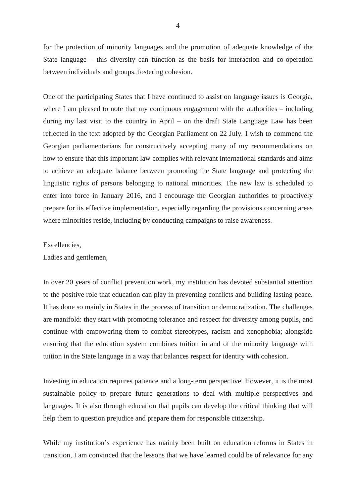for the protection of minority languages and the promotion of adequate knowledge of the State language – this diversity can function as the basis for interaction and co-operation between individuals and groups, fostering cohesion.

One of the participating States that I have continued to assist on language issues is Georgia, where I am pleased to note that my continuous engagement with the authorities – including during my last visit to the country in April – on the draft State Language Law has been reflected in the text adopted by the Georgian Parliament on 22 July. I wish to commend the Georgian parliamentarians for constructively accepting many of my recommendations on how to ensure that this important law complies with relevant international standards and aims to achieve an adequate balance between promoting the State language and protecting the linguistic rights of persons belonging to national minorities. The new law is scheduled to enter into force in January 2016, and I encourage the Georgian authorities to proactively prepare for its effective implementation, especially regarding the provisions concerning areas where minorities reside, including by conducting campaigns to raise awareness.

## Excellencies,

Ladies and gentlemen,

In over 20 years of conflict prevention work, my institution has devoted substantial attention to the positive role that education can play in preventing conflicts and building lasting peace. It has done so mainly in States in the process of transition or democratization. The challenges are manifold: they start with promoting tolerance and respect for diversity among pupils, and continue with empowering them to combat stereotypes, racism and xenophobia; alongside ensuring that the education system combines tuition in and of the minority language with tuition in the State language in a way that balances respect for identity with cohesion.

Investing in education requires patience and a long-term perspective. However, it is the most sustainable policy to prepare future generations to deal with multiple perspectives and languages. It is also through education that pupils can develop the critical thinking that will help them to question prejudice and prepare them for responsible citizenship.

While my institution's experience has mainly been built on education reforms in States in transition, I am convinced that the lessons that we have learned could be of relevance for any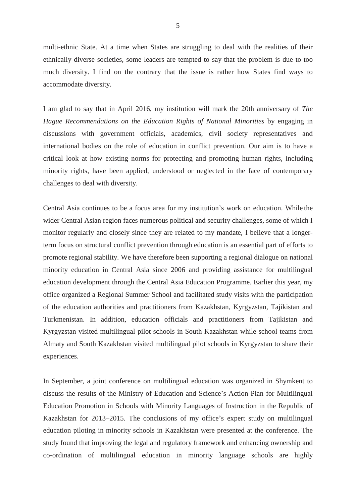multi-ethnic State. At a time when States are struggling to deal with the realities of their ethnically diverse societies, some leaders are tempted to say that the problem is due to too much diversity. I find on the contrary that the issue is rather how States find ways to accommodate diversity.

I am glad to say that in April 2016, my institution will mark the 20th anniversary of *The Hague Recommendations on the Education Rights of National Minorities* by engaging in discussions with government officials, academics, civil society representatives and international bodies on the role of education in conflict prevention. Our aim is to have a critical look at how existing norms for protecting and promoting human rights, including minority rights, have been applied, understood or neglected in the face of contemporary challenges to deal with diversity.

Central Asia continues to be a focus area for my institution's work on education. While the wider Central Asian region faces numerous political and security challenges, some of which I monitor regularly and closely since they are related to my mandate, I believe that a longerterm focus on structural conflict prevention through education is an essential part of efforts to promote regional stability. We have therefore been supporting a regional dialogue on national minority education in Central Asia since 2006 and providing assistance for multilingual education development through the Central Asia Education Programme. Earlier this year, my office organized a Regional Summer School and facilitated study visits with the participation of the education authorities and practitioners from Kazakhstan, Kyrgyzstan, Tajikistan and Turkmenistan. In addition, education officials and practitioners from Tajikistan and Kyrgyzstan visited multilingual pilot schools in South Kazakhstan while school teams from Almaty and South Kazakhstan visited multilingual pilot schools in Kyrgyzstan to share their experiences.

In September, a joint conference on multilingual education was organized in Shymkent to discuss the results of the Ministry of Education and Science's Action Plan for Multilingual Education Promotion in Schools with Minority Languages of Instruction in the Republic of Kazakhstan for 2013–2015. The conclusions of my office's expert study on multilingual education piloting in minority schools in Kazakhstan were presented at the conference. The study found that improving the legal and regulatory framework and enhancing ownership and co-ordination of multilingual education in minority language schools are highly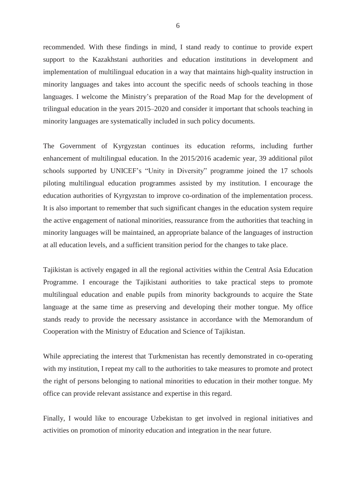recommended. With these findings in mind, I stand ready to continue to provide expert support to the Kazakhstani authorities and education institutions in development and implementation of multilingual education in a way that maintains high-quality instruction in minority languages and takes into account the specific needs of schools teaching in those languages. I welcome the Ministry's preparation of the Road Map for the development of trilingual education in the years 2015–2020 and consider it important that schools teaching in minority languages are systematically included in such policy documents.

The Government of Kyrgyzstan continues its education reforms, including further enhancement of multilingual education. In the 2015/2016 academic year, 39 additional pilot schools supported by UNICEF's "Unity in Diversity" programme joined the 17 schools piloting multilingual education programmes assisted by my institution. I encourage the education authorities of Kyrgyzstan to improve co-ordination of the implementation process. It is also important to remember that such significant changes in the education system require the active engagement of national minorities, reassurance from the authorities that teaching in minority languages will be maintained, an appropriate balance of the languages of instruction at all education levels, and a sufficient transition period for the changes to take place.

Tajikistan is actively engaged in all the regional activities within the Central Asia Education Programme. I encourage the Tajikistani authorities to take practical steps to promote multilingual education and enable pupils from minority backgrounds to acquire the State language at the same time as preserving and developing their mother tongue. My office stands ready to provide the necessary assistance in accordance with the Memorandum of Cooperation with the Ministry of Education and Science of Tajikistan.

While appreciating the interest that Turkmenistan has recently demonstrated in co-operating with my institution, I repeat my call to the authorities to take measures to promote and protect the right of persons belonging to national minorities to education in their mother tongue. My office can provide relevant assistance and expertise in this regard.

Finally, I would like to encourage Uzbekistan to get involved in regional initiatives and activities on promotion of minority education and integration in the near future.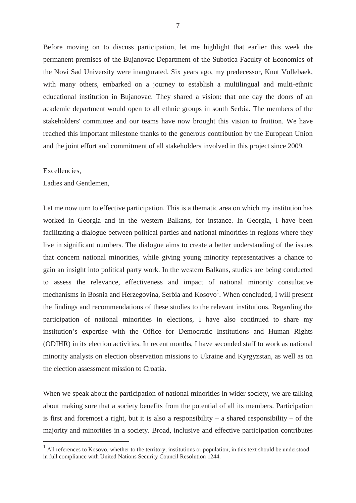Before moving on to discuss participation, let me highlight that earlier this week the permanent premises of the Bujanovac Department of the Subotica Faculty of Economics of the Novi Sad University were inaugurated. Six years ago, my predecessor, Knut Vollebaek, with many others, embarked on a journey to establish a multilingual and multi-ethnic educational institution in Bujanovac. They shared a vision: that one day the doors of an academic department would open to all ethnic groups in south Serbia. The members of the stakeholders' committee and our teams have now brought this vision to fruition. We have reached this important milestone thanks to the generous contribution by the European Union and the joint effort and commitment of all stakeholders involved in this project since 2009.

#### Excellencies,

 $\overline{a}$ 

Ladies and Gentlemen,

Let me now turn to effective participation. This is a thematic area on which my institution has worked in Georgia and in the western Balkans, for instance. In Georgia, I have been facilitating a dialogue between political parties and national minorities in regions where they live in significant numbers. The dialogue aims to create a better understanding of the issues that concern national minorities, while giving young minority representatives a chance to gain an insight into political party work. In the western Balkans, studies are being conducted to assess the relevance, effectiveness and impact of national minority consultative mechanisms in Bosnia and Herzegovina, Serbia and Kosovo<sup>1</sup>. When concluded, I will present the findings and recommendations of these studies to the relevant institutions. Regarding the participation of national minorities in elections, I have also continued to share my institution's expertise with the Office for Democratic Institutions and Human Rights (ODIHR) in its election activities. In recent months, I have seconded staff to work as national minority analysts on election observation missions to Ukraine and Kyrgyzstan, as well as on the election assessment mission to Croatia.

When we speak about the participation of national minorities in wider society, we are talking about making sure that a society benefits from the potential of all its members. Participation is first and foremost a right, but it is also a responsibility – a shared responsibility – of the majority and minorities in a society. Broad, inclusive and effective participation contributes

 $<sup>1</sup>$  All references to Kosovo, whether to the territory, institutions or population, in this text should be understood</sup> in full compliance with United Nations Security Council Resolution 1244.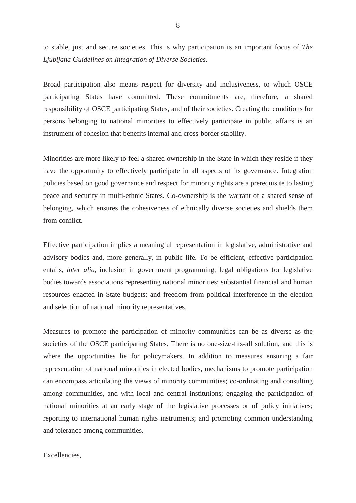to stable, just and secure societies. This is why participation is an important focus of *The Ljubljana Guidelines on Integration of Diverse Societies*.

Broad participation also means respect for diversity and inclusiveness, to which OSCE participating States have committed. These commitments are, therefore, a shared responsibility of OSCE participating States, and of their societies. Creating the conditions for persons belonging to national minorities to effectively participate in public affairs is an instrument of cohesion that benefits internal and cross-border stability.

Minorities are more likely to feel a shared ownership in the State in which they reside if they have the opportunity to effectively participate in all aspects of its governance. Integration policies based on good governance and respect for minority rights are a prerequisite to lasting peace and security in multi-ethnic States. Co-ownership is the warrant of a shared sense of belonging, which ensures the cohesiveness of ethnically diverse societies and shields them from conflict.

Effective participation implies a meaningful representation in legislative, administrative and advisory bodies and, more generally, in public life. To be efficient, effective participation entails, *inter alia*, inclusion in government programming; legal obligations for legislative bodies towards associations representing national minorities; substantial financial and human resources enacted in State budgets; and freedom from political interference in the election and selection of national minority representatives.

Measures to promote the participation of minority communities can be as diverse as the societies of the OSCE participating States. There is no one-size-fits-all solution, and this is where the opportunities lie for policymakers. In addition to measures ensuring a fair representation of national minorities in elected bodies, mechanisms to promote participation can encompass articulating the views of minority communities; co-ordinating and consulting among communities, and with local and central institutions; engaging the participation of national minorities at an early stage of the legislative processes or of policy initiatives; reporting to international human rights instruments; and promoting common understanding and tolerance among communities.

Excellencies,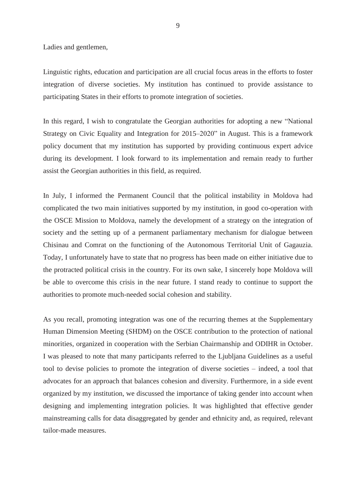Ladies and gentlemen,

Linguistic rights, education and participation are all crucial focus areas in the efforts to foster integration of diverse societies. My institution has continued to provide assistance to participating States in their efforts to promote integration of societies.

In this regard, I wish to congratulate the Georgian authorities for adopting a new "National Strategy on Civic Equality and Integration for 2015–2020" in August. This is a framework policy document that my institution has supported by providing continuous expert advice during its development. I look forward to its implementation and remain ready to further assist the Georgian authorities in this field, as required.

In July, I informed the Permanent Council that the political instability in Moldova had complicated the two main initiatives supported by my institution, in good co-operation with the OSCE Mission to Moldova, namely the development of a strategy on the integration of society and the setting up of a permanent parliamentary mechanism for dialogue between Chisinau and Comrat on the functioning of the Autonomous Territorial Unit of Gagauzia. Today, I unfortunately have to state that no progress has been made on either initiative due to the protracted political crisis in the country. For its own sake, I sincerely hope Moldova will be able to overcome this crisis in the near future. I stand ready to continue to support the authorities to promote much-needed social cohesion and stability.

As you recall, promoting integration was one of the recurring themes at the Supplementary Human Dimension Meeting (SHDM) on the OSCE contribution to the protection of national minorities, organized in cooperation with the Serbian Chairmanship and ODIHR in October. I was pleased to note that many participants referred to the Ljubljana Guidelines as a useful tool to devise policies to promote the integration of diverse societies – indeed, a tool that advocates for an approach that balances cohesion and diversity. Furthermore, in a side event organized by my institution, we discussed the importance of taking gender into account when designing and implementing integration policies. It was highlighted that effective gender mainstreaming calls for data disaggregated by gender and ethnicity and, as required, relevant tailor-made measures.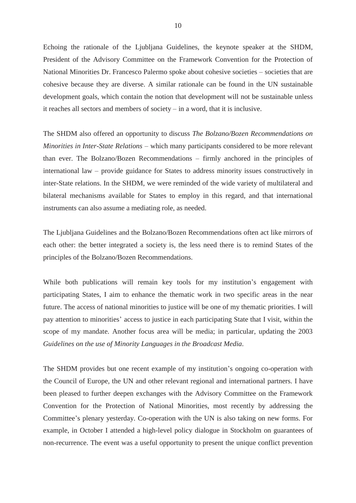Echoing the rationale of the Ljubljana Guidelines, the keynote speaker at the SHDM, President of the Advisory Committee on the Framework Convention for the Protection of National Minorities Dr. Francesco Palermo spoke about cohesive societies – societies that are cohesive because they are diverse. A similar rationale can be found in the UN sustainable development goals, which contain the notion that development will not be sustainable unless it reaches all sectors and members of society – in a word, that it is inclusive.

The SHDM also offered an opportunity to discuss *The Bolzano/Bozen Recommendations on Minorities in Inter-State Relations* – which many participants considered to be more relevant than ever. The Bolzano/Bozen Recommendations – firmly anchored in the principles of international law – provide guidance for States to address minority issues constructively in inter-State relations. In the SHDM, we were reminded of the wide variety of multilateral and bilateral mechanisms available for States to employ in this regard, and that international instruments can also assume a mediating role, as needed.

The Ljubljana Guidelines and the Bolzano/Bozen Recommendations often act like mirrors of each other: the better integrated a society is, the less need there is to remind States of the principles of the Bolzano/Bozen Recommendations.

While both publications will remain key tools for my institution's engagement with participating States, I aim to enhance the thematic work in two specific areas in the near future. The access of national minorities to justice will be one of my thematic priorities. I will pay attention to minorities' access to justice in each participating State that I visit, within the scope of my mandate. Another focus area will be media; in particular, updating the 2003 *Guidelines on the use of Minority Languages in the Broadcast Media*.

The SHDM provides but one recent example of my institution's ongoing co-operation with the Council of Europe, the UN and other relevant regional and international partners. I have been pleased to further deepen exchanges with the Advisory Committee on the Framework Convention for the Protection of National Minorities, most recently by addressing the Committee's plenary yesterday. Co-operation with the UN is also taking on new forms. For example, in October I attended a high-level policy dialogue in Stockholm on guarantees of non-recurrence. The event was a useful opportunity to present the unique conflict prevention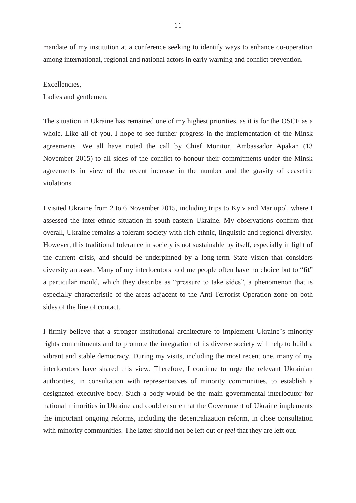mandate of my institution at a conference seeking to identify ways to enhance co-operation among international, regional and national actors in early warning and conflict prevention.

#### Excellencies,

Ladies and gentlemen,

The situation in Ukraine has remained one of my highest priorities, as it is for the OSCE as a whole. Like all of you, I hope to see further progress in the implementation of the Minsk agreements. We all have noted the call by Chief Monitor, Ambassador Apakan (13 November 2015) to all sides of the conflict to honour their commitments under the Minsk agreements in view of the recent increase in the number and the gravity of ceasefire violations.

I visited Ukraine from 2 to 6 November 2015, including trips to Kyiv and Mariupol, where I assessed the inter-ethnic situation in south-eastern Ukraine. My observations confirm that overall, Ukraine remains a tolerant society with rich ethnic, linguistic and regional diversity. However, this traditional tolerance in society is not sustainable by itself, especially in light of the current crisis, and should be underpinned by a long-term State vision that considers diversity an asset. Many of my interlocutors told me people often have no choice but to "fit" a particular mould, which they describe as "pressure to take sides", a phenomenon that is especially characteristic of the areas adjacent to the Anti-Terrorist Operation zone on both sides of the line of contact.

I firmly believe that a stronger institutional architecture to implement Ukraine's minority rights commitments and to promote the integration of its diverse society will help to build a vibrant and stable democracy. During my visits, including the most recent one, many of my interlocutors have shared this view. Therefore, I continue to urge the relevant Ukrainian authorities, in consultation with representatives of minority communities, to establish a designated executive body. Such a body would be the main governmental interlocutor for national minorities in Ukraine and could ensure that the Government of Ukraine implements the important ongoing reforms, including the decentralization reform, in close consultation with minority communities. The latter should not be left out or *feel* that they are left out.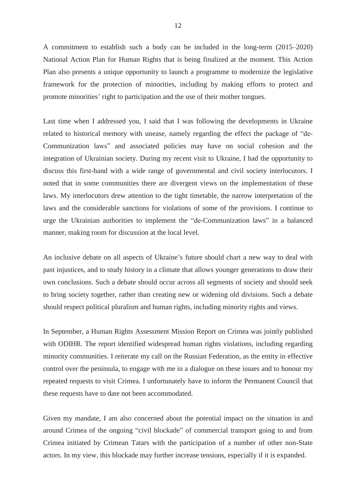A commitment to establish such a body can be included in the long-term (2015–2020) National Action Plan for Human Rights that is being finalized at the moment. This Action Plan also presents a unique opportunity to launch a programme to modernize the legislative framework for the protection of minorities, including by making efforts to protect and promote minorities' right to participation and the use of their mother tongues.

Last time when I addressed you, I said that I was following the developments in Ukraine related to historical memory with unease, namely regarding the effect the package of "de-Communization laws" and associated policies may have on social cohesion and the integration of Ukrainian society. During my recent visit to Ukraine, I had the opportunity to discuss this first-hand with a wide range of governmental and civil society interlocutors. I noted that in some communities there are divergent views on the implementation of these laws. My interlocutors drew attention to the tight timetable, the narrow interpretation of the laws and the considerable sanctions for violations of some of the provisions. I continue to urge the Ukrainian authorities to implement the "de-Communization laws" in a balanced manner, making room for discussion at the local level.

An inclusive debate on all aspects of Ukraine's future should chart a new way to deal with past injustices, and to study history in a climate that allows younger generations to draw their own conclusions. Such a debate should occur across all segments of society and should seek to bring society together, rather than creating new or widening old divisions. Such a debate should respect political pluralism and human rights, including minority rights and views.

In September, a Human Rights Assessment Mission Report on Crimea was jointly published with ODIHR. The report identified widespread human rights violations, including regarding minority communities. I reiterate my call on the Russian Federation, as the entity in effective control over the peninsula, to engage with me in a dialogue on these issues and to honour my repeated requests to visit Crimea. I unfortunately have to inform the Permanent Council that these requests have to date not been accommodated.

Given my mandate, I am also concerned about the potential impact on the situation in and around Crimea of the ongoing "civil blockade" of commercial transport going to and from Crimea initiated by Crimean Tatars with the participation of a number of other non-State actors. In my view, this blockade may further increase tensions, especially if it is expanded.